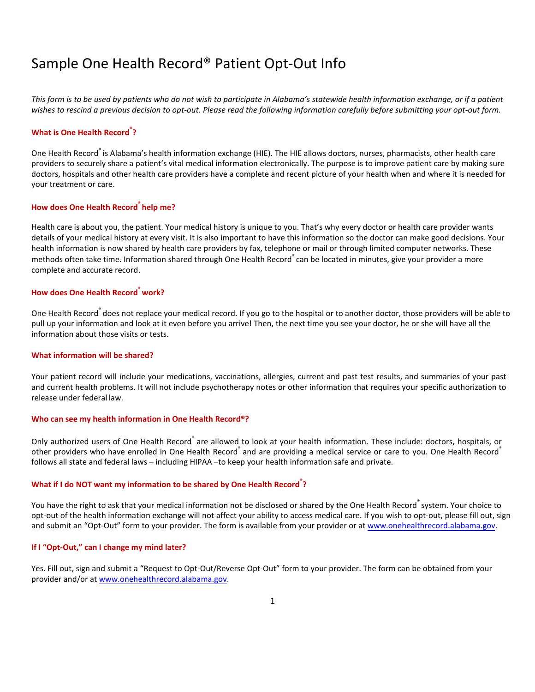## Sample One Health Record® Patient Opt-Out Info

*This form is to be used by patients who do not wish to participate in Alabama's statewide health information exchange, or if a patient wishes to rescind a previous decision to opt-out. Please read the following information carefully before submitting your opt-out form.*

## **What is One Health Record® ?**

One Health Record**®** is Alabama's health information exchange (HIE). The HIE allows doctors, nurses, pharmacists, other health care providers to securely share a patient's vital medical information electronically. The purpose is to improve patient care by making sure doctors, hospitals and other health care providers have a complete and recent picture of your health when and where it is needed for your treatment or care.

#### **How does One Health Record® help me?**

Health care is about you, the patient. Your medical history is unique to you. That's why every doctor or health care provider wants details of your medical history at every visit. It is also important to have this information so the doctor can make good decisions. Your health information is now shared by health care providers by fax, telephone or mail or through limited computer networks. These methods often take time. Information shared through One Health Record® can be located in minutes, give your provider a more complete and accurate record.

#### **How does One Health Record® work?**

One Health Record<sup>®</sup> does not replace your medical record. If you go to the hospital or to another doctor, those providers will be able to pull up your information and look at it even before you arrive! Then, the next time you see your doctor, he or she will have all the information about those visits or tests.

#### **What information will be shared?**

Your patient record will include your medications, vaccinations, allergies, current and past test results, and summaries of your past and current health problems. It will not include psychotherapy notes or other information that requires your specific authorization to release under federal law.

#### **Who can see my health information in One Health Record®?**

Only authorized users of One Health Record<sup>®</sup> are allowed to look at your health information. These include: doctors, hospitals, or other providers who have enrolled in One Health Record® and are providing a medical service or care to you. One Health Record® follows all state and federal laws – including HIPAA –to keep your health information safe and private.

## **What if I do NOT want my information to be shared by One Health Record® ?**

You have the right to ask that your medical information not be disclosed or shared by the One Health Record**®** system. Your choice to opt-out of the health information exchange will not affect your ability to access medical care. If you wish to opt-out, please fill out, sign and submit an "Opt-Out" form to your provider. The form is available from your provider or at [www.onehealthrecord.alabama.gov.](http://www.onehealthrecord.alabama.gov/)

#### **If I "Opt-Out," can I change my mind later?**

Yes. Fill out, sign and submit a "Request to Opt-Out/Reverse Opt-Out" form to your provider. The form can be obtained from your provider and/or at [www.onehealthrecord.alabama.gov.](http://www.onehealthrecord.alabama.gov/)